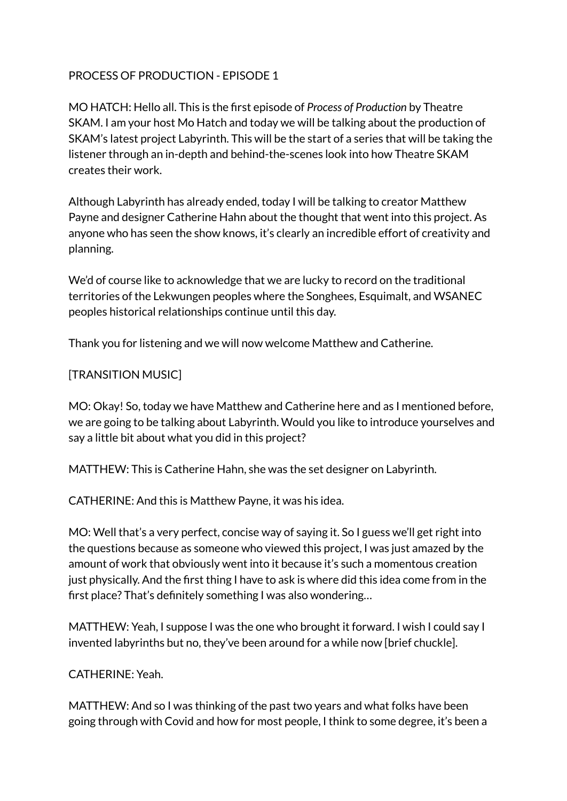### PROCESS OF PRODUCTION - EPISODE 1

MO HATCH: Hello all. This is the first episode of *Process of Production* by Theatre SKAM. I am your host Mo Hatch and today we will be talking about the production of SKAM's latest project Labyrinth. This will be the start of a series that will be taking the listener through an in-depth and behind-the-scenes look into how Theatre SKAM creates their work.

Although Labyrinth has already ended, today I will be talking to creator Matthew Payne and designer Catherine Hahn about the thought that went into this project. As anyone who has seen the show knows, it's clearly an incredible effort of creativity and planning.

We'd of course like to acknowledge that we are lucky to record on the traditional territories of the Lekwungen peoples where the Songhees, Esquimalt, and WSANEC peoples historical relationships continue until this day.

Thank you for listening and we will now welcome Matthew and Catherine.

#### [TRANSITION MUSIC]

MO: Okay! So, today we have Matthew and Catherine here and as I mentioned before, we are going to be talking about Labyrinth. Would you like to introduce yourselves and say a little bit about what you did in this project?

MATTHEW: This is Catherine Hahn, she was the set designer on Labyrinth.

CATHERINE: And this is Matthew Payne, it was his idea.

MO: Well that's a very perfect, concise way of saying it. So I guess we'll get right into the questions because as someone who viewed this project, I was just amazed by the amount of work that obviously went into it because it's such a momentous creation just physically. And the first thing I have to ask is where did this idea come from in the first place? That's definitely something I was also wondering…

MATTHEW: Yeah, I suppose I was the one who brought it forward. I wish I could say I invented labyrinths but no, they've been around for a while now [brief chuckle].

#### CATHERINE: Yeah.

MATTHEW: And so I was thinking of the past two years and what folks have been going through with Covid and how for most people, I think to some degree, it's been a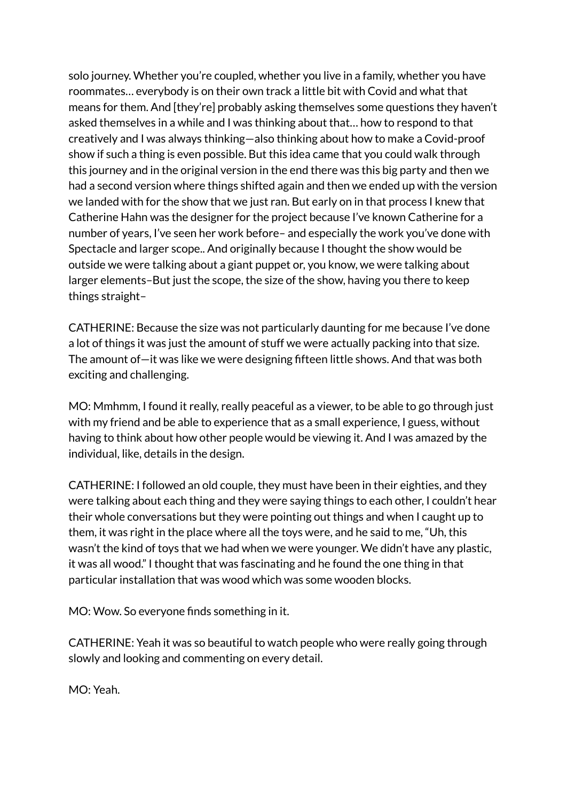solo journey. Whether you're coupled, whether you live in a family, whether you have roommates… everybody is on their own track a little bit with Covid and what that means for them. And [they're] probably asking themselves some questions they haven't asked themselves in a while and I was thinking about that… how to respond to that creatively and I was always thinking—also thinking about how to make a Covid-proof show if such a thing is even possible. But this idea came that you could walk through this journey and in the original version in the end there was this big party and then we had a second version where things shifted again and then we ended up with the version we landed with for the show that we just ran. But early on in that process I knew that Catherine Hahn was the designer for the project because I've known Catherine for a number of years, I've seen her work before– and especially the work you've done with Spectacle and larger scope.. And originally because I thought the show would be outside we were talking about a giant puppet or, you know, we were talking about larger elements–But just the scope, the size of the show, having you there to keep things straight–

CATHERINE: Because the size was not particularly daunting for me because I've done a lot of things it was just the amount of stuff we were actually packing into that size. The amount of—it was like we were designing fifteen little shows. And that was both exciting and challenging.

MO: Mmhmm, I found it really, really peaceful as a viewer, to be able to go through just with my friend and be able to experience that as a small experience, I guess, without having to think about how other people would be viewing it. And I was amazed by the individual, like, details in the design.

CATHERINE: I followed an old couple, they must have been in their eighties, and they were talking about each thing and they were saying things to each other, I couldn't hear their whole conversations but they were pointing out things and when I caught up to them, it was right in the place where all the toys were, and he said to me, "Uh, this wasn't the kind of toys that we had when we were younger. We didn't have any plastic, it was all wood." I thought that was fascinating and he found the one thing in that particular installation that was wood which was some wooden blocks.

MO: Wow. So everyone finds something in it.

CATHERINE: Yeah it was so beautiful to watch people who were really going through slowly and looking and commenting on every detail.

MO: Yeah.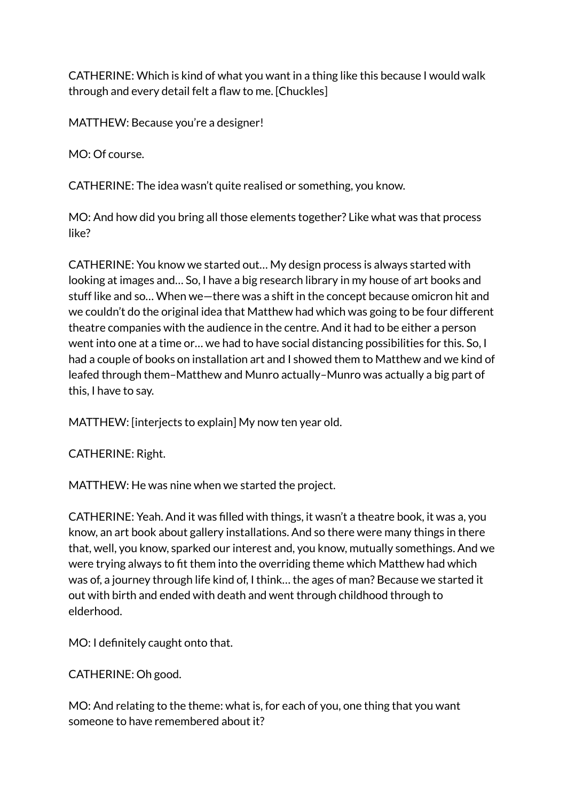CATHERINE: Which is kind of what you want in a thing like this because I would walk through and every detail felt a flaw to me. [Chuckles]

MATTHEW: Because you're a designer!

MO: Of course.

CATHERINE: The idea wasn't quite realised or something, you know.

MO: And how did you bring all those elements together? Like what was that process like?

CATHERINE: You know we started out… My design process is always started with looking at images and… So, I have a big research library in my house of art books and stuff like and so… When we—there was a shift in the concept because omicron hit and we couldn't do the original idea that Matthew had which was going to be four different theatre companies with the audience in the centre. And it had to be either a person went into one at a time or… we had to have social distancing possibilities for this. So, I had a couple of books on installation art and I showed them to Matthew and we kind of leafed through them–Matthew and Munro actually–Munro was actually a big part of this, I have to say.

MATTHEW: [interjects to explain] My now ten year old.

CATHERINE: Right.

MATTHEW: He was nine when we started the project.

CATHERINE: Yeah. And it was filled with things, it wasn't a theatre book, it was a, you know, an art book about gallery installations. And so there were many things in there that, well, you know, sparked our interest and, you know, mutually somethings. And we were trying always to fit them into the overriding theme which Matthew had which was of, a journey through life kind of, I think… the ages of man? Because we started it out with birth and ended with death and went through childhood through to elderhood.

MO: I definitely caught onto that.

CATHERINE: Oh good.

MO: And relating to the theme: what is, for each of you, one thing that you want someone to have remembered about it?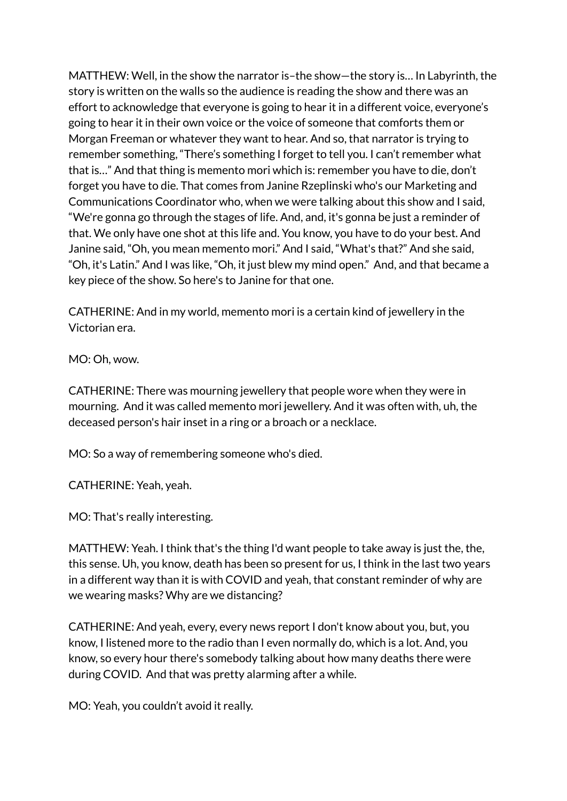MATTHEW: Well, in the show the narrator is–the show—the story is… In Labyrinth, the story is written on the walls so the audience is reading the show and there was an effort to acknowledge that everyone is going to hear it in a different voice, everyone's going to hear it in their own voice or the voice of someone that comforts them or Morgan Freeman or whatever they want to hear. And so, that narrator is trying to remember something, "There's something I forget to tell you. I can't remember what that is…" And that thing is memento mori which is: remember you have to die, don't forget you have to die. That comes from Janine Rzeplinski who's our Marketing and Communications Coordinator who, when we were talking about this show and I said, "We're gonna go through the stages of life. And, and, it's gonna be just a reminder of that. We only have one shot at this life and. You know, you have to do your best. And Janine said, "Oh, you mean memento mori." And I said, "What's that?" And she said, "Oh, it's Latin." And I was like, "Oh, it just blew my mind open." And, and that became a key piece of the show. So here's to Janine for that one.

CATHERINE: And in my world, memento mori is a certain kind of jewellery in the Victorian era.

MO: Oh, wow.

CATHERINE: There was mourning jewellery that people wore when they were in mourning. And it was called memento mori jewellery. And it was often with, uh, the deceased person's hair inset in a ring or a broach or a necklace.

MO: So a way of remembering someone who's died.

CATHERINE: Yeah, yeah.

MO: That's really interesting.

MATTHEW: Yeah. I think that's the thing I'd want people to take away is just the, the, this sense. Uh, you know, death has been so present for us, I think in the last two years in a different way than it is with COVID and yeah, that constant reminder of why are we wearing masks? Why are we distancing?

CATHERINE: And yeah, every, every news report I don't know about you, but, you know, I listened more to the radio than I even normally do, which is a lot. And, you know, so every hour there's somebody talking about how many deaths there were during COVID. And that was pretty alarming after a while.

MO: Yeah, you couldn't avoid it really.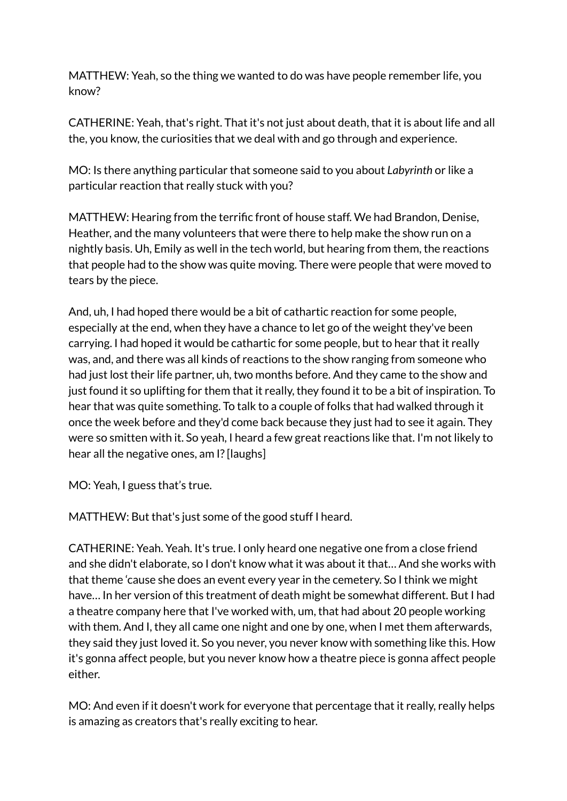MATTHEW: Yeah, so the thing we wanted to do was have people remember life, you know?

CATHERINE: Yeah, that's right. That it's not just about death, that it is about life and all the, you know, the curiosities that we deal with and go through and experience.

MO: Is there anything particular that someone said to you about *Labyrinth* or like a particular reaction that really stuck with you?

MATTHEW: Hearing from the terrific front of house staff. We had Brandon, Denise, Heather, and the many volunteers that were there to help make the show run on a nightly basis. Uh, Emily as well in the tech world, but hearing from them, the reactions that people had to the show was quite moving. There were people that were moved to tears by the piece.

And, uh, I had hoped there would be a bit of cathartic reaction for some people, especially at the end, when they have a chance to let go of the weight they've been carrying. I had hoped it would be cathartic for some people, but to hear that it really was, and, and there was all kinds of reactions to the show ranging from someone who had just lost their life partner, uh, two months before. And they came to the show and just found it so uplifting for them that it really, they found it to be a bit of inspiration. To hear that was quite something. To talk to a couple of folks that had walked through it once the week before and they'd come back because they just had to see it again. They were so smitten with it. So yeah, I heard a few great reactions like that. I'm not likely to hear all the negative ones, am I? [laughs]

MO: Yeah, I guess that's true.

MATTHEW: But that's just some of the good stuff I heard.

CATHERINE: Yeah. Yeah. It's true. I only heard one negative one from a close friend and she didn't elaborate, so I don't know what it was about it that… And she works with that theme 'cause she does an event every year in the cemetery. So I think we might have… In her version of this treatment of death might be somewhat different. But I had a theatre company here that I've worked with, um, that had about 20 people working with them. And I, they all came one night and one by one, when I met them afterwards, they said they just loved it. So you never, you never know with something like this. How it's gonna affect people, but you never know how a theatre piece is gonna affect people either.

MO: And even if it doesn't work for everyone that percentage that it really, really helps is amazing as creators that's really exciting to hear.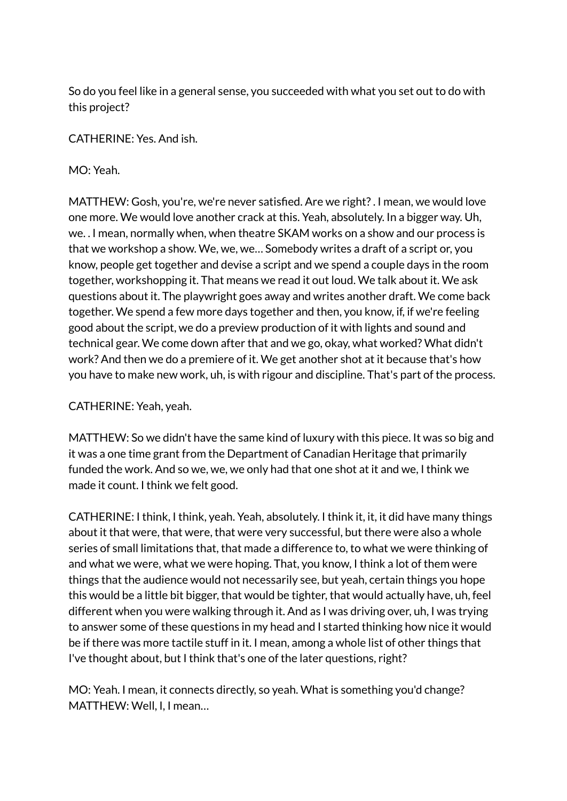So do you feel like in a general sense, you succeeded with what you set out to do with this project?

CATHERINE: Yes. And ish.

MO: Yeah.

MATTHEW: Gosh, you're, we're never satisfied. Are we right?. I mean, we would love one more. We would love another crack at this. Yeah, absolutely. In a bigger way. Uh, we. . I mean, normally when, when theatre SKAM works on a show and our process is that we workshop a show. We, we, we… Somebody writes a draft of a script or, you know, people get together and devise a script and we spend a couple days in the room together, workshopping it. That means we read it out loud. We talk about it. We ask questions about it. The playwright goes away and writes another draft. We come back together. We spend a few more days together and then, you know, if, if we're feeling good about the script, we do a preview production of it with lights and sound and technical gear. We come down after that and we go, okay, what worked? What didn't work? And then we do a premiere of it. We get another shot at it because that's how you have to make new work, uh, is with rigour and discipline. That's part of the process.

## CATHERINE: Yeah, yeah.

MATTHEW: So we didn't have the same kind of luxury with this piece. It was so big and it was a one time grant from the Department of Canadian Heritage that primarily funded the work. And so we, we, we only had that one shot at it and we, I think we made it count. I think we felt good.

CATHERINE: I think, I think, yeah. Yeah, absolutely. I think it, it, it did have many things about it that were, that were, that were very successful, but there were also a whole series of small limitations that, that made a difference to, to what we were thinking of and what we were, what we were hoping. That, you know, I think a lot of them were things that the audience would not necessarily see, but yeah, certain things you hope this would be a little bit bigger, that would be tighter, that would actually have, uh, feel different when you were walking through it. And as I was driving over, uh, I was trying to answer some of these questions in my head and I started thinking how nice it would be if there was more tactile stuff in it. I mean, among a whole list of other things that I've thought about, but I think that's one of the later questions, right?

MO: Yeah. I mean, it connects directly, so yeah. What is something you'd change? MATTHEW: Well, I, I mean…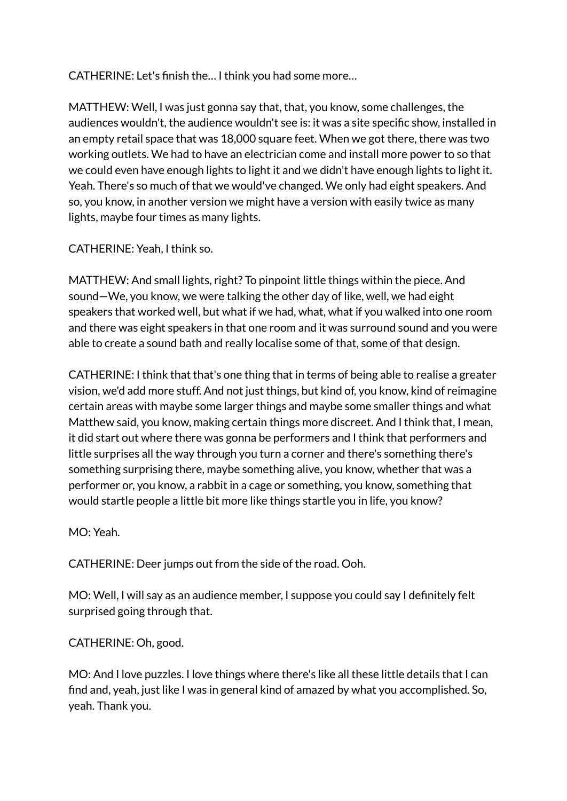CATHERINE: Let's finish the… I think you had some more…

MATTHEW: Well, I was just gonna say that, that, you know, some challenges, the audiences wouldn't, the audience wouldn't see is: it was a site specific show, installed in an empty retail space that was 18,000 square feet. When we got there, there was two working outlets. We had to have an electrician come and install more power to so that we could even have enough lights to light it and we didn't have enough lights to light it. Yeah. There's so much of that we would've changed. We only had eight speakers. And so, you know, in another version we might have a version with easily twice as many lights, maybe four times as many lights.

# CATHERINE: Yeah, I think so.

MATTHEW: And small lights, right? To pinpoint little things within the piece. And sound—We, you know, we were talking the other day of like, well, we had eight speakers that worked well, but what if we had, what, what if you walked into one room and there was eight speakers in that one room and it was surround sound and you were able to create a sound bath and really localise some of that, some of that design.

CATHERINE: I think that that's one thing that in terms of being able to realise a greater vision, we'd add more stuff. And not just things, but kind of, you know, kind of reimagine certain areas with maybe some larger things and maybe some smaller things and what Matthew said, you know, making certain things more discreet. And I think that, I mean, it did start out where there was gonna be performers and I think that performers and little surprises all the way through you turn a corner and there's something there's something surprising there, maybe something alive, you know, whether that was a performer or, you know, a rabbit in a cage or something, you know, something that would startle people a little bit more like things startle you in life, you know?

MO: Yeah.

CATHERINE: Deer jumps out from the side of the road. Ooh.

MO: Well, I will say as an audience member, I suppose you could say I definitely felt surprised going through that.

## CATHERINE: Oh, good.

MO: And I love puzzles. I love things where there's like all these little details that I can find and, yeah, just like I was in general kind of amazed by what you accomplished. So, yeah. Thank you.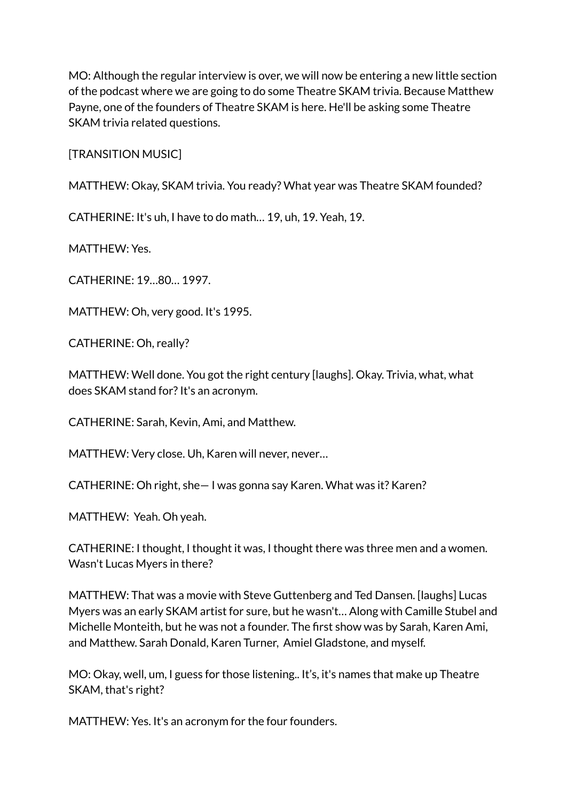MO: Although the regular interview is over, we will now be entering a new little section of the podcast where we are going to do some Theatre SKAM trivia. Because Matthew Payne, one of the founders of Theatre SKAM is here. He'll be asking some Theatre SKAM trivia related questions.

[TRANSITION MUSIC]

MATTHEW: Okay, SKAM trivia. You ready? What year was Theatre SKAM founded?

CATHERINE: It's uh, I have to do math… 19, uh, 19. Yeah, 19.

MATTHEW: Yes.

CATHERINE: 19…80… 1997.

MATTHEW: Oh, very good. It's 1995.

CATHERINE: Oh, really?

MATTHEW: Well done. You got the right century [laughs]. Okay. Trivia, what, what does SKAM stand for? It's an acronym.

CATHERINE: Sarah, Kevin, Ami, and Matthew.

MATTHEW: Very close. Uh, Karen will never, never…

CATHERINE: Oh right, she— I was gonna say Karen. What was it? Karen?

MATTHEW: Yeah. Oh yeah.

CATHERINE: I thought, I thought it was, I thought there was three men and a women. Wasn't Lucas Myers in there?

MATTHEW: That was a movie with Steve Guttenberg and Ted Dansen. [laughs] Lucas Myers was an early SKAM artist for sure, but he wasn't… Along with Camille Stubel and Michelle Monteith, but he was not a founder. The first show was by Sarah, Karen Ami, and Matthew. Sarah Donald, Karen Turner, Amiel Gladstone, and myself.

MO: Okay, well, um, I guess for those listening.. It's, it's names that make up Theatre SKAM, that's right?

MATTHEW: Yes. It's an acronym for the four founders.